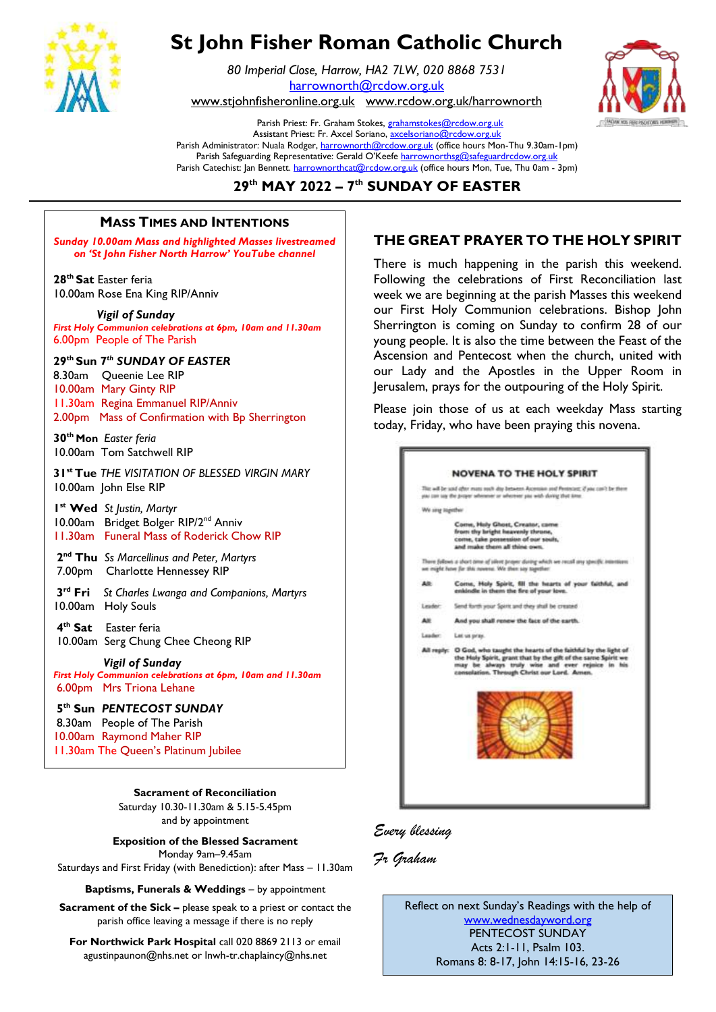

# **St John Fisher Roman Catholic Church**

*80 Imperial Close, Harrow, HA2 7LW, 020 8868 7531* [harrownorth@rcdow.org.uk](mailto:harrownorth@rcdow.org.uk) 

[www.stjohnfisheronline.org.uk](http://www.stjohnfisheronline.org.uk/) www.rcdow.org.uk/harrownorth



Parish Priest: Fr. Graham Stokes[, grahamstokes@rcdow.org.uk](mailto:grahamstokes@rcdow.org.uk) Assistant Priest: Fr. Axcel Soriano[, axcelsoriano@rcdow.org.uk](mailto:axcelsoriano@rcdow.org.uk) Parish Administrator: Nuala Rodger[, harrownorth@rcdow.org.uk](mailto:harrownorth@rcdow.org.uk) (office hours Mon-Thu 9.30am-1pm) Parish Safeguarding Representative: Gerald O'Keefe [harrownorthsg@safeguardrcdow.org.uk](mailto:harrownorthsg@safeguardrcdow.org.uk) Parish Catechist: Jan Bennett. [harrownorthcat@rcdow.org.uk](mailto:harrownorthcat@rcdow.org.uk) (office hours Mon, Tue, Thu 0am - 3pm)

# **29 th MAY 2022 – 7 th SUNDAY OF EASTER \_\_\_\_\_\_\_\_\_\_\_\_\_\_\_\_\_\_\_\_\_\_\_\_\_\_\_\_\_\_\_\_\_\_\_\_\_\_\_\_\_\_\_\_\_\_\_\_\_\_\_\_\_\_\_\_\_\_\_\_\_\_\_\_\_\_\_\_\_\_\_\_\_\_\_\_\_\_\_\_\_\_\_\_\_\_\_\_\_\_\_\_\_\_\_\_\_\_\_\_\_\_\_\_\_\_\_\_\_\_\_\_\_\_\_\_\_\_\_\_\_\_\_\_\_\_\_\_\_\_\_\_\_\_\_\_\_\_\_\_\_\_\_\_\_\_\_\_\_\_\_\_\_\_\_\_\_\_\_\_\_**

#### *"Mary's Meals serves THE GREAT PRAYER F* **MASS TIMES AND INTENTIONS \_\_\_\_\_\_\_\_\_\_\_\_\_\_\_\_\_\_\_\_\_\_\_\_\_\_\_\_\_\_\_\_\_\_\_\_\_\_\_\_\_\_\_\_\_\_\_\_\_\_\_\_\_\_\_\_\_\_\_\_\_\_\_\_\_\_\_\_** --------------------------------------------------------------------------------------------------------------------------------------  $\begin{array}{ccc} \hline \end{array}$  reads times and intentions  $\begin{array}{ccc} \hline \end{array}$

**Sunday 10.00am Mass and highlighted Masses livestreamed FHI** *on 'St John Fisher North Harrow' YouTube channel* 

**28th Sat** Easter feria 10.00am Rose Ena King RIP/Anniv

 *Vigil of Sunday First Holy Communion celebrations at 6pm, 10am and 11.30am*  6.00pm People of The Parish

## **29th Sun 7** *th SUNDAY OF EASTER*

8.30am Queenie Lee RIP 10.00am Mary Ginty RIP 11.30am Regina Emmanuel RIP/Anniv 2.00pm Mass of Confirmation with Bp Sherrington

**30th Mon** *Easter feria* 10.00am Tom Satchwell RIP

**31st Tue** *THE VISITATION OF BLESSED VIRGIN MARY* 10.00am John Else RIP

**1 st Wed** *St Justin, Martyr* 10.00am Bridget Bolger RIP/2<sup>nd</sup> Anniv 11.30am Funeral Mass of Roderick Chow RIP

**2 nd Thu** *Ss Marcellinus and Peter, Martyrs* 7.00pmCharlotte Hennessey RIP

**3 rd Fri** *St Charles Lwanga and Companions, Martyrs* 10.00am Holy Souls

**4 th Sat** Easter feria 10.00am Serg Chung Chee Cheong RIP

*Vigil of Sunday*

*First Holy Communion celebrations at 6pm, 10am and 11.30am*  6.00pm Mrs Triona Lehane

#### **5 th Sun** *PENTECOST SUNDAY*

8.30am People of The Parish 10.00am Raymond Maher RIP 11.30am The Queen's Platinum Jubilee L

**Sacrament of Reconciliation**

Saturday 10.30-11.30am & 5.15-5.45pm and by appointment

**Exposition of the Blessed Sacrament** Monday 9am–9.45am

Saturdays and First Friday (with Benediction): after Mass – 11.30am

**Baptisms, Funerals & Weddings** - by appointment

**Sacrament of the Sick –** please speak to a priest or contact the parish office leaving a message if there is no reply

**For Northwick Park Hospital** call 020 8869 2113 or email agustinpaunon@nhs.net or lnwh-tr.chaplaincy@nhs.net

# **THE GREAT PRAYER TO THE HOLY SPIRIT \_\_\_\_\_\_\_\_\_\_\_\_\_\_\_\_**

There is much happening in the parish this weekend. **Following the celebrations of First Reconciliation last** week we are beginning at the parish Masses this weekend our First Holy Communion celebrations. Bishop John Sherrington is coming on Sunday to confirm 28 of our young people. It is also the time between the Feast of the Ascension and Pentecost when the church, united with our Lady and the Apostles in the Upper Room in Jerusalem, prays for the outpouring of the Holy Spirit.

> Please join those of us at each weekday Mass starting today, Friday, who have been praying this novena.



# *Every blessing*

*Fr Graham*

Reflect on next Sunday's Readings with the help of [www.wednesdayword.org](http://www.wednesdayword.org/) PENTECOST SUNDAY Acts 2:1-11, Psalm 103. Romans 8: 8-17, John 14:15-16, 23-26